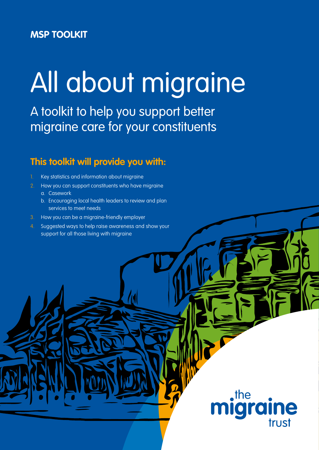# **MSP TOOLKIT**

# All about migraine

A toolkit to help you support better migraine care for your constituents

# **This toolkit will provide you with:**

- Key statistics and information about migraine
- 2. How you can support constituents who have migraine
	- a. Casework
	- b. Encouraging local health leaders to review and plan services to meet needs
- 3. How you can be a migraine-friendly employer
- 4. Suggested ways to help raise awareness and show your support for all those living with migraine

 $\cdot$ the **Igra ine** trust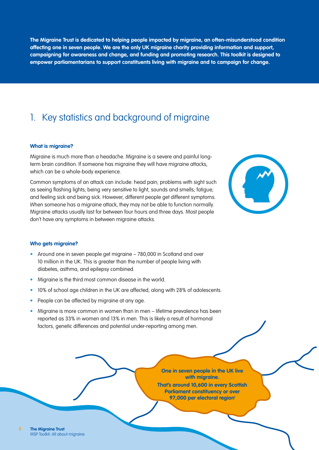**The Migraine Trust is dedicated to helping people impacted by migraine, an often-misunderstood condition affecting one in seven people. We are the only UK migraine charity providing information and support, campaigning for awareness and change, and funding and promoting research. This toolkit is designed to empower parliamentarians to support constituents living with migraine and to campaign for change.**

# 1. Key statistics and background of migraine

#### **What is migraine?**

Migraine is much more than a headache. Migraine is a severe and painful longterm brain condition. If someone has migraine they will have migraine attacks, which can be a whole-body experience.

Common symptoms of an attack can include: head pain; problems with sight such as seeing flashing lights; being very sensitive to light, sounds and smells; fatigue; and feeling sick and being sick. However, different people get different symptoms. When someone has a migraine attack, they may not be able to function normally. Migraine attacks usually last for between four hours and three days. Most people don't have any symptoms in between migraine attacks.



#### **Who gets migraine?**

- Around one in seven people get migraine 780,000 in Scotland and over 10 million in the UK. This is greater than the number of people living with diabetes, asthma, and epilepsy combined.
- Migraine is the third most common disease in the world.
- 10% of school age children in the UK are affected, along with 28% of adolescents.
- People can be affected by migraine at any age.
- Migraine is more common in women than in men lifetime prevalence has been reported as 33% in women and 13% in men. This is likely a result of hormonal factors, genetic differences and potential under-reporting among men.

**One in seven people in the UK live with migraine. That's around 10,600 in every Scottish** 

**Parliament constituency or over 97,000 per electoral regioni**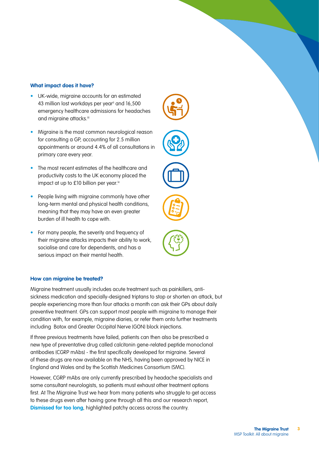#### **What impact does it have?**

- UK-wide, migraine accounts for an estimated 43 million lost workdays per year<sup>ii</sup> and 16,500 emergency healthcare admissions for headaches and migraine attacks.iii
- Migraine is the most common neurological reason for consulting a GP, accounting for 2.5 million appointments or around 4.4% of all consultations in primary care every year.
- The most recent estimates of the healthcare and productivity costs to the UK economy placed the impact at up to £10 billion per year.iv
- People living with migraine commonly have other long-term mental and physical health conditions, meaning that they may have an even greater burden of ill health to cope with.
- For many people, the severity and frequency of their migraine attacks impacts their ability to work, socialise and care for dependents, and has a serious impact on their mental health.

#### **How can migraine be treated?**

Migraine treatment usually includes acute treatment such as painkillers, antisickness medication and specially-designed triptans to stop or shorten an attack, but people experiencing more than four attacks a month can ask their GPs about daily preventive treatment. GPs can support most people with migraine to manage their condition with, for example, migraine diaries, or refer them onto further treatments including Botox and Greater Occipital Nerve (GON) block injections.

If three previous treatments have failed, patients can then also be prescribed a new type of preventative drug called calcitonin gene-related peptide monoclonal antibodies (CGRP mAbs) - the first specifically developed for migraine. Several of these drugs are now available on the NHS, having been approved by NICE in England and Wales and by the Scottish Medicines Consortium (SMC).

However, CGRP mAbs are only currently prescribed by headache specialists and some consultant neurologists, so patients must exhaust other treatment options first. At The Migraine Trust we hear from many patients who struggle to get access to these drugs even after having gone through all this and our research report, **[Dismissed for too long](https://migrainetrust.org/wp-content/uploads/2021/09/Dismissed-for-too-long_Recommendations-to-improve-migraine-care-in-the-UK.pdf)**, highlighted patchy access across the country.







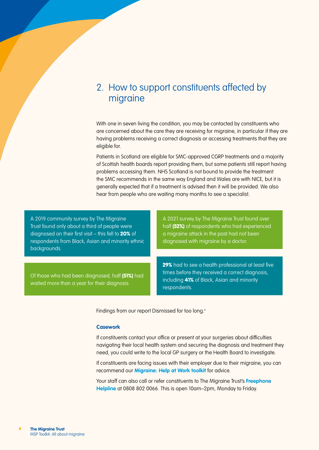### 2. How to support constituents affected by migraine

With one in seven living the condition, you may be contacted by constituents who are concerned about the care they are receiving for migraine, in particular if they are having problems receiving a correct diagnosis or accessing treatments that they are eligible for.

Patients in Scotland are eligible for SMC-approved CGRP treatments and a majority of Scottish health boards report providing them, but some patients still report having problems accessing them. NHS Scotland is not bound to provide the treatment the SMC recommends in the same way England and Wales are with NICE, but it is generally expected that if a treatment is advised then it will be provided. We also hear from people who are waiting many months to see a specialist.

A 2019 community survey by The Migraine Trust found only about a third of people were diagnosed on their first visit – this fell to 20% of respondents from Black, Asian and minority ethnic backgrounds.

Of those who had been diagnosed, half (51%) had waited more than a year for their diagnosis.

A 2021 survey by The Migraine Trust found over half (52%) of respondents who had experienced a migraine attack in the past had not been diagnosed with migraine by a doctor.

29% had to see a health professional at least five times before they received a correct diagnosis, including 41% of Black, Asian and minority respondents.

Findings from our report Dismissed for too long.<sup>v</sup>

#### **Casework**

If constituents contact your office or present at your surgeries about difficulties navigating their local health system and securing the diagnosis and treatment they need, you could write to the local GP surgery or the Health Board to investigate.

If constituents are facing issues with their employer due to their migraine, you can recommend our **[Migraine: Help at Work toolkit](https://migrainetrust.org/wp-content/uploads/2021/04/Migraine_Help-at-work-toolkit.pdf)** for advice.

Your staff can also call or refer constituents to The Migraine Trust's **[Freephone](https://migrainetrust.org/what-we-do/our-information-and-support-service/)  [Helpline](https://migrainetrust.org/what-we-do/our-information-and-support-service/)** at 0808 802 0066. This is open 10am–2pm, Monday to Friday.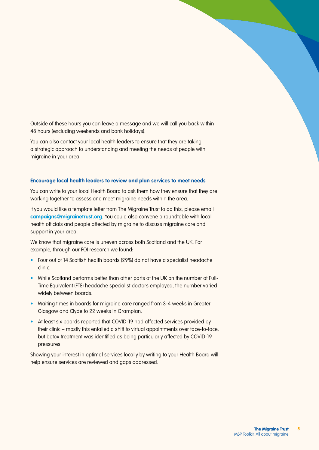Outside of these hours you can leave a message and we will call you back within 48 hours (excluding weekends and bank holidays).

You can also contact your local health leaders to ensure that they are taking a strategic approach to understanding and meeting the needs of people with migraine in your area.

#### **Encourage local health leaders to review and plan services to meet needs**

You can write to your local Health Board to ask them how they ensure that they are working together to assess and meet migraine needs within the area.

If you would like a template letter from The Migraine Trust to do this, please email **[campaigns@migrainetrust.org](mailto:campaigns%40migrainetrust.org?subject=)**. You could also convene a roundtable with local health officials and people affected by migraine to discuss migraine care and support in your area.

We know that migraine care is uneven across both Scotland and the UK. For example, through our FOI research we found:

- Four out of 14 Scottish health boards (29%) do not have a specialist headache clinic.
- While Scotland performs better than other parts of the UK on the number of Full-Time Equivalent (FTE) headache specialist doctors employed, the number varied widely between boards.
- Waiting times in boards for migraine care ranged from 3-4 weeks in Greater Glasgow and Clyde to 22 weeks in Grampian.
- At least six boards reported that COVID-19 had affected services provided by their clinic – mostly this entailed a shift to virtual appointments over face-to-face, but botox treatment was identified as being particularly affected by COVID-19 pressures.

Showing your interest in optimal services locally by writing to your Health Board will help ensure services are reviewed and gaps addressed.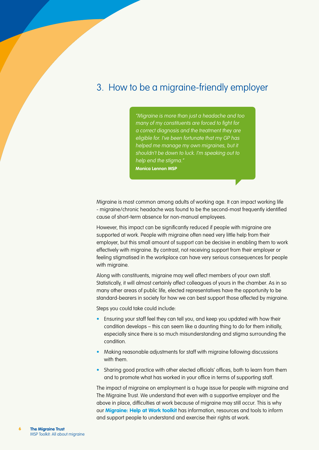# 3. How to be a migraine-friendly employer

"Migraine is more than just a headache and too many of my constituents are forced to fight for a correct diagnosis and the treatment they are eligible for. I've been fortunate that my GP has helped me manage my own migraines, but it shouldn't be down to luck. I'm speaking out to help end the stigma." **Monica Lennon MSP**

Migraine is most common among adults of working age. It can impact working life - migraine/chronic headache was found to be the second-most frequently identified cause of short-term absence for non-manual employees.

However, this impact can be significantly reduced if people with migraine are supported at work. People with migraine often need very little help from their employer, but this small amount of support can be decisive in enabling them to work effectively with migraine. By contrast, not receiving support from their employer or feeling stigmatised in the workplace can have very serious consequences for people with migraine.

Along with constituents, migraine may well affect members of your own staff. Statistically, it will almost certainly affect colleagues of yours in the chamber. As in so many other areas of public life, elected representatives have the opportunity to be standard-bearers in society for how we can best support those affected by migraine.

Steps you could take could include:

- Ensuring your staff feel they can tell you, and keep you updated with how their condition develops – this can seem like a daunting thing to do for them initially, especially since there is so much misunderstanding and stigma surrounding the condition.
- Making reasonable adjustments for staff with migraine following discussions with them.
- Sharing good practice with other elected officials' offices, both to learn from them and to promote what has worked in your office in terms of supporting staff.

The impact of migraine on employment is a huge issue for people with migraine and The Migraine Trust. We understand that even with a supportive employer and the above in place, difficulties at work because of migraine may still occur. This is why our **[Migraine: Help at Work toolkit](https://migrainetrust.org/wp-content/uploads/2021/04/Migraine_Help-at-work-toolkit.pdf)** has information, resources and tools to inform and support people to understand and exercise their rights at work.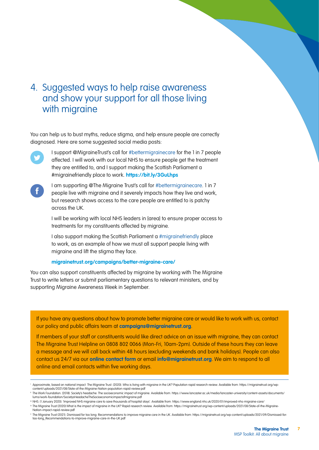# 4. Suggested ways to help raise awareness and show your support for all those living with migraine

You can help us to bust myths, reduce stigma, and help ensure people are correctly diagnosed. Here are some suggested social media posts:



I support @MigraineTrust's call for #bettermigrainecare for the 1 in 7 people affected. I will work with our local NHS to ensure people get the treatment they are entitled to, and I support making the Scottish Parliament a #migrainefriendly place to work. **<https://bit.ly/3GuLhps>**



I am supporting @The Migraine Trust's call for #bettermigrainecare. 1 in 7 people live with migraine and it severely impacts how they live and work, but research shows access to the care people are entitled to is patchy across the UK.

I will be working with local NHS leaders in [area] to ensure proper access to treatments for my constituents affected by migraine.

I also support making the Scottish Parliament a #migrainefriendly place to work, as an example of how we must all support people living with migraine and lift the stigma they face.

#### **[migrainetrust.org/campaigns/better-migraine-care/](https://migrainetrust.org/campaigns/better-migraine-care/)**

You can also support constituents affected by migraine by working with The Migraine Trust to write letters or submit parliamentary questions to relevant ministers, and by supporting Migraine Awareness Week in September.

If you have any questions about how to promote better migraine care or would like to work with us, contact our policy and public affairs team at **[campaigns@migrainetrust.org](mailto:campaigns%40migrainetrust.org?subject=)**.

If members of your staff or constituents would like direct advice on an issue with migraine, they can contact The Migraine Trust Helpline on 0808 802 0066 (Mon-Fri, 10am-2pm). Outside of these hours they can leave a message and we will call back within 48 hours (excluding weekends and bank holidays). People can also contact us 24/7 via our **[online contact form](https://migraine2020.wpengine.com/contact-us/)** or email **[info@migrainetrust.org](mailto:info%40migrainetrust.org?subject=)**. We aim to respond to all online and email contacts within five working days.

iii NHS. (1 January 2020). 'Improved NHS migraine care to save thousands of hospital stays'. Available from: <https://www.england.nhs.uk/2020/01/improved-nhs-migraine-care/> iv The Migraine Trust (2020) What is the impact of migraine in the UK? Rapid research review. Available from: [https://migrainetrust.org/wp-content/uploads/2021/08/State-of-the-Migraine-](https://migrainetrust.org/wp-content/uploads/2021/08/State-of-the-Migraine-Nation-impact-rapid-review.pdf)

**7**

Approximate, based on national impact. The Migraine Trust. (2020). Who is living with migraine in the UK? Population rapid research review. Available from: [https://migrainetrust.org/wp](https://migrainetrust.org/wp-content/uploads/2021/08/State-of-the-Migraine-Nation-population-rapid-review.pdf)[content/uploads/2021/08/State-of-the-Migraine-Nation-population-rapid-review.pdf](https://migrainetrust.org/wp-content/uploads/2021/08/State-of-the-Migraine-Nation-population-rapid-review.pdf)

The Work Foundation. (2018). Society's headache: The socioeconomic impact of migraine. Available from: [https://www.lancaster.ac.uk/media/lancaster-university/content-assets/documents/](https://www.lancaster.ac.uk/media/lancaster-university/content-assets/documents/lums/work-foundation/SocietysHeadacheTheSocioeconomicimpactofmigraine.pdf) [lums/work-foundation/SocietysHeadacheTheSocioeconomicimpactofmigraine.pdf](https://www.lancaster.ac.uk/media/lancaster-university/content-assets/documents/lums/work-foundation/SocietysHeadacheTheSocioeconomicimpactofmigraine.pdf)

[Nation-impact-rapid-review.pdf](https://migrainetrust.org/wp-content/uploads/2021/08/State-of-the-Migraine-Nation-impact-rapid-review.pdf) v The Migraine Trust (2021). Dismissed for too long: Recommendations to improve migraine care in the UK. Available from: https://migrainetrust.org/wp-content/uploads/2021/09/Dismissed-for [too-long\\_Recommendations-to-improve-migraine-care-in-the-UK.pdf](https://migrainetrust.org/wp-content/uploads/2021/09/Dismissed-for-too-long_Recommendations-to-improve-migraine-care-in-the-UK.pdf)